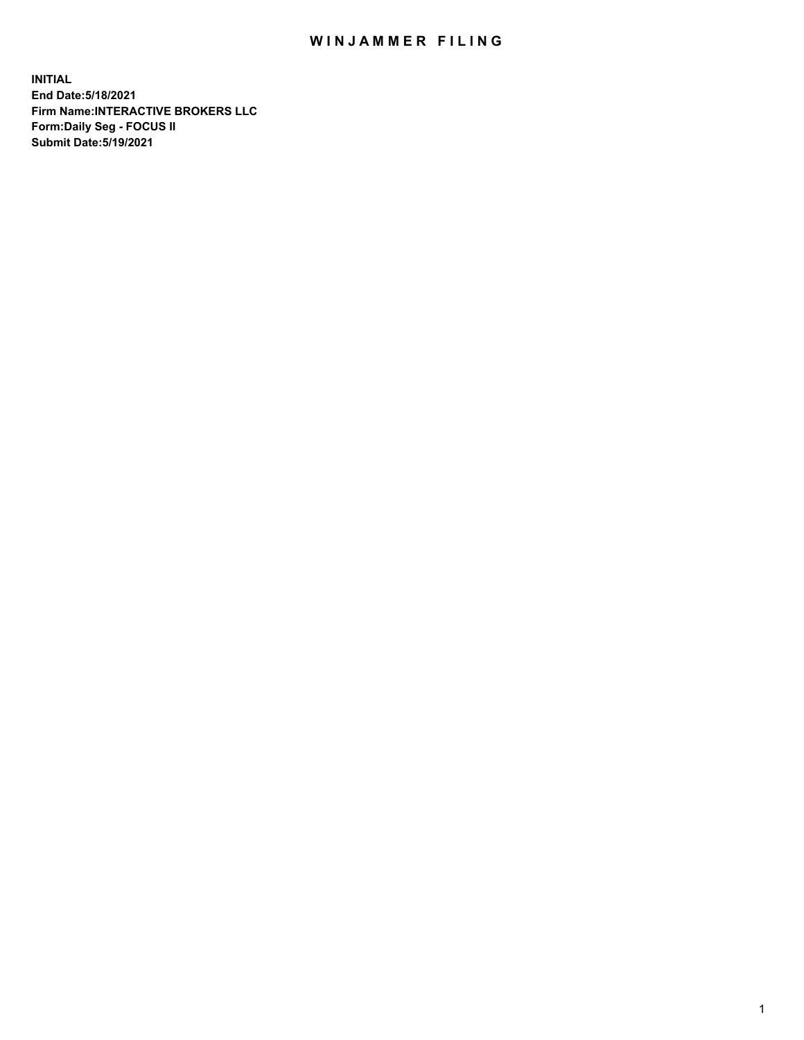## WIN JAMMER FILING

**INITIAL End Date:5/18/2021 Firm Name:INTERACTIVE BROKERS LLC Form:Daily Seg - FOCUS II Submit Date:5/19/2021**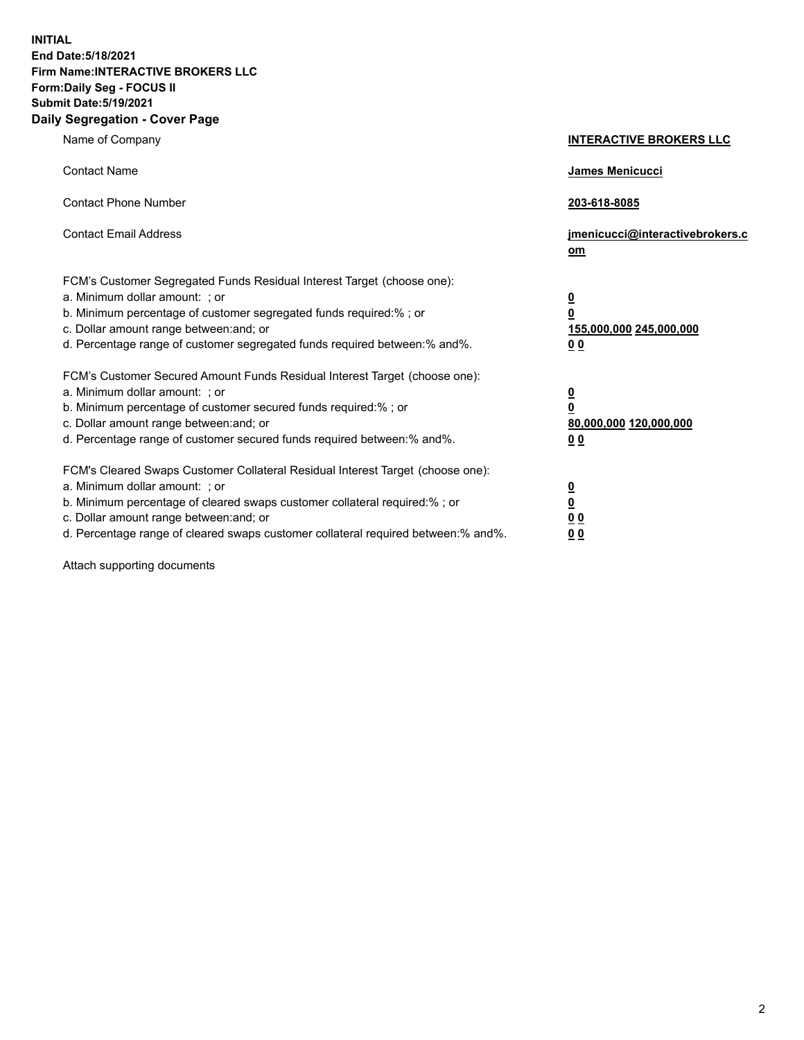**INITIAL End Date:5/18/2021 Firm Name:INTERACTIVE BROKERS LLC Form:Daily Seg - FOCUS II Submit Date:5/19/2021 Daily Segregation - Cover Page**

| Name of Company                                                                                                                                                                                                                                                                                                                | <b>INTERACTIVE BROKERS LLC</b>                                                   |
|--------------------------------------------------------------------------------------------------------------------------------------------------------------------------------------------------------------------------------------------------------------------------------------------------------------------------------|----------------------------------------------------------------------------------|
| <b>Contact Name</b>                                                                                                                                                                                                                                                                                                            | James Menicucci                                                                  |
| <b>Contact Phone Number</b>                                                                                                                                                                                                                                                                                                    | 203-618-8085                                                                     |
| <b>Contact Email Address</b>                                                                                                                                                                                                                                                                                                   | jmenicucci@interactivebrokers.c<br>om                                            |
| FCM's Customer Segregated Funds Residual Interest Target (choose one):<br>a. Minimum dollar amount: ; or<br>b. Minimum percentage of customer segregated funds required:% ; or<br>c. Dollar amount range between: and; or<br>d. Percentage range of customer segregated funds required between:% and%.                         | <u>0</u><br>$\overline{\mathbf{0}}$<br>155,000,000 245,000,000<br>0 <sub>0</sub> |
| FCM's Customer Secured Amount Funds Residual Interest Target (choose one):<br>a. Minimum dollar amount: ; or<br>b. Minimum percentage of customer secured funds required:% ; or<br>c. Dollar amount range between: and; or<br>d. Percentage range of customer secured funds required between:% and%.                           | <u>0</u><br>$\overline{\mathbf{0}}$<br>80,000,000 120,000,000<br>0 <sub>0</sub>  |
| FCM's Cleared Swaps Customer Collateral Residual Interest Target (choose one):<br>a. Minimum dollar amount: ; or<br>b. Minimum percentage of cleared swaps customer collateral required:% ; or<br>c. Dollar amount range between: and; or<br>d. Percentage range of cleared swaps customer collateral required between:% and%. | <u>0</u><br>$\underline{\mathbf{0}}$<br>0 <sub>0</sub><br>0 <sub>0</sub>         |

Attach supporting documents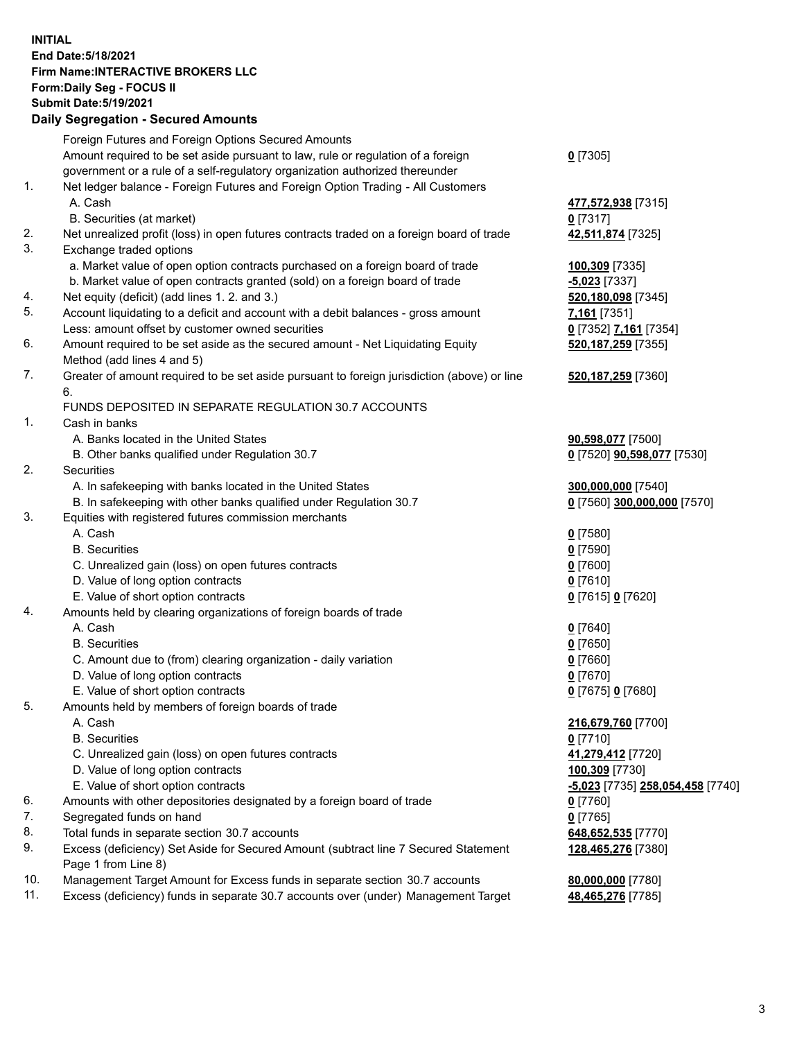## **INITIAL End Date:5/18/2021 Firm Name:INTERACTIVE BROKERS LLC Form:Daily Seg - FOCUS II Submit Date:5/19/2021**

|     | <b>Daily Segregation - Secured Amounts</b>                                                  |                                   |
|-----|---------------------------------------------------------------------------------------------|-----------------------------------|
|     | Foreign Futures and Foreign Options Secured Amounts                                         |                                   |
|     | Amount required to be set aside pursuant to law, rule or regulation of a foreign            | $0$ [7305]                        |
|     | government or a rule of a self-regulatory organization authorized thereunder                |                                   |
| 1.  | Net ledger balance - Foreign Futures and Foreign Option Trading - All Customers             |                                   |
|     | A. Cash                                                                                     | 477,572,938 [7315]                |
|     | B. Securities (at market)                                                                   | $0$ [7317]                        |
| 2.  | Net unrealized profit (loss) in open futures contracts traded on a foreign board of trade   | 42,511,874 [7325]                 |
| 3.  | Exchange traded options                                                                     |                                   |
|     | a. Market value of open option contracts purchased on a foreign board of trade              | 100,309 [7335]                    |
|     | b. Market value of open contracts granted (sold) on a foreign board of trade                | -5,023 [7337]                     |
| 4.  | Net equity (deficit) (add lines 1. 2. and 3.)                                               | 520,180,098 [7345]                |
| 5.  | Account liquidating to a deficit and account with a debit balances - gross amount           | 7,161 <sub>[7351]</sub>           |
|     | Less: amount offset by customer owned securities                                            | 0 [7352] 7,161 [7354]             |
| 6.  | Amount required to be set aside as the secured amount - Net Liquidating Equity              | 520, 187, 259 [7355]              |
|     | Method (add lines 4 and 5)                                                                  |                                   |
| 7.  | Greater of amount required to be set aside pursuant to foreign jurisdiction (above) or line | 520,187,259 [7360]                |
|     | 6.                                                                                          |                                   |
|     | FUNDS DEPOSITED IN SEPARATE REGULATION 30.7 ACCOUNTS                                        |                                   |
| 1.  | Cash in banks                                                                               |                                   |
|     | A. Banks located in the United States                                                       | 90,598,077 [7500]                 |
|     | B. Other banks qualified under Regulation 30.7                                              | 0 [7520] <b>90,598,077</b> [7530] |
| 2.  | Securities                                                                                  |                                   |
|     | A. In safekeeping with banks located in the United States                                   | 300,000,000 [7540]                |
|     | B. In safekeeping with other banks qualified under Regulation 30.7                          | 0 [7560] 300,000,000 [7570]       |
| 3.  | Equities with registered futures commission merchants                                       |                                   |
|     | A. Cash                                                                                     | $0$ [7580]                        |
|     | <b>B.</b> Securities                                                                        | $0$ [7590]                        |
|     | C. Unrealized gain (loss) on open futures contracts                                         | $0$ [7600]                        |
|     | D. Value of long option contracts                                                           | $0$ [7610]                        |
|     | E. Value of short option contracts                                                          | 0 [7615] 0 [7620]                 |
| 4.  | Amounts held by clearing organizations of foreign boards of trade                           |                                   |
|     | A. Cash                                                                                     | $0$ [7640]                        |
|     | <b>B.</b> Securities                                                                        | $0$ [7650]                        |
|     | C. Amount due to (from) clearing organization - daily variation                             | $0$ [7660]                        |
|     | D. Value of long option contracts                                                           | $0$ [7670]                        |
|     | E. Value of short option contracts                                                          | 0 [7675] 0 [7680]                 |
| 5.  | Amounts held by members of foreign boards of trade                                          |                                   |
|     | A. Cash                                                                                     | 216,679,760 [7700]                |
|     | <b>B.</b> Securities                                                                        | $0$ [7710]                        |
|     | C. Unrealized gain (loss) on open futures contracts                                         | 41,279,412 [7720]                 |
|     | D. Value of long option contracts                                                           | 100,309 [7730]                    |
|     | E. Value of short option contracts                                                          | -5,023 [7735] 258,054,458 [7740]  |
| 6.  | Amounts with other depositories designated by a foreign board of trade                      | 0 [7760]                          |
| 7.  | Segregated funds on hand                                                                    | $0$ [7765]                        |
| 8.  | Total funds in separate section 30.7 accounts                                               | 648,652,535 [7770]                |
| 9.  | Excess (deficiency) Set Aside for Secured Amount (subtract line 7 Secured Statement         | 128,465,276 [7380]                |
|     | Page 1 from Line 8)                                                                         |                                   |
| 10. | Management Target Amount for Excess funds in separate section 30.7 accounts                 | 80,000,000 [7780]                 |
| 11. | Excess (deficiency) funds in separate 30.7 accounts over (under) Management Target          | 48,465,276 [7785]                 |
|     |                                                                                             |                                   |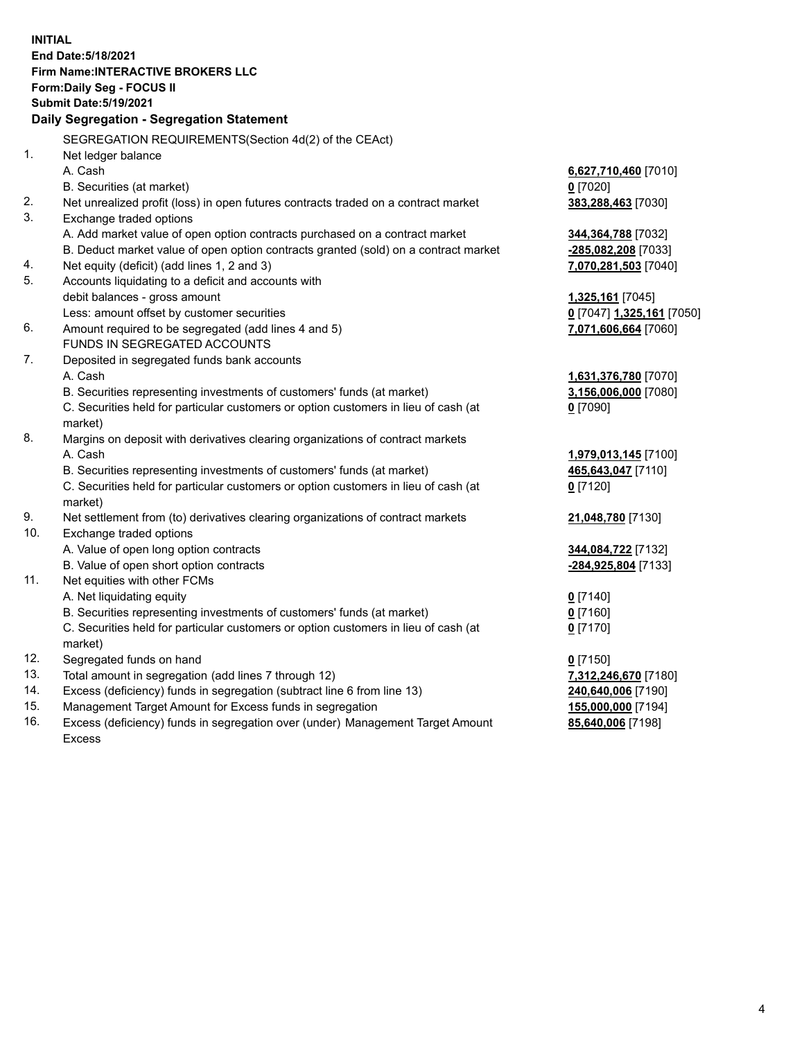**INITIAL End Date:5/18/2021 Firm Name:INTERACTIVE BROKERS LLC Form:Daily Seg - FOCUS II Submit Date:5/19/2021 Daily Segregation - Segregation Statement** SEGREGATION REQUIREMENTS(Section 4d(2) of the CEAct) 1. Net ledger balance A. Cash **6,627,710,460** [7010] B. Securities (at market) **0** [7020] 2. Net unrealized profit (loss) in open futures contracts traded on a contract market **383,288,463** [7030] 3. Exchange traded options A. Add market value of open option contracts purchased on a contract market **344,364,788** [7032] B. Deduct market value of open option contracts granted (sold) on a contract market **-285,082,208** [7033] 4. Net equity (deficit) (add lines 1, 2 and 3) **7,070,281,503** [7040] 5. Accounts liquidating to a deficit and accounts with debit balances - gross amount **1,325,161** [7045] Less: amount offset by customer securities **0** [7047] **1,325,161** [7050] 6. Amount required to be segregated (add lines 4 and 5) **7,071,606,664** [7060] FUNDS IN SEGREGATED ACCOUNTS 7. Deposited in segregated funds bank accounts A. Cash **1,631,376,780** [7070] B. Securities representing investments of customers' funds (at market) **3,156,006,000** [7080] C. Securities held for particular customers or option customers in lieu of cash (at market) **0** [7090] 8. Margins on deposit with derivatives clearing organizations of contract markets A. Cash **1,979,013,145** [7100] B. Securities representing investments of customers' funds (at market) **465,643,047** [7110] C. Securities held for particular customers or option customers in lieu of cash (at market) **0** [7120] 9. Net settlement from (to) derivatives clearing organizations of contract markets **21,048,780** [7130] 10. Exchange traded options A. Value of open long option contracts **344,084,722** [7132] B. Value of open short option contracts **-284,925,804** [7133] 11. Net equities with other FCMs A. Net liquidating equity **0** [7140] B. Securities representing investments of customers' funds (at market) **0** [7160] C. Securities held for particular customers or option customers in lieu of cash (at market) **0** [7170] 12. Segregated funds on hand **0** [7150] 13. Total amount in segregation (add lines 7 through 12) **7,312,246,670** [7180] 14. Excess (deficiency) funds in segregation (subtract line 6 from line 13) **240,640,006** [7190] 15. Management Target Amount for Excess funds in segregation **155,000,000** [7194]

16. Excess (deficiency) funds in segregation over (under) Management Target Amount Excess

**85,640,006** [7198]